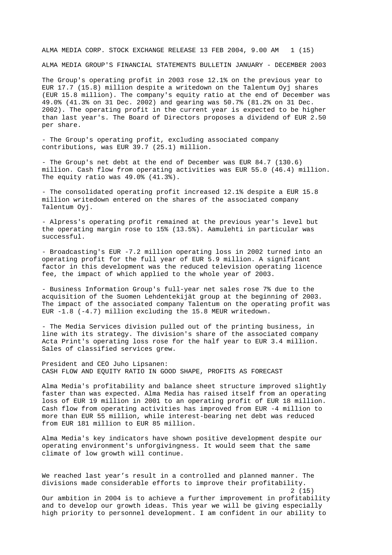ALMA MEDIA CORP. STOCK EXCHANGE RELEASE 13 FEB 2004, 9.00 AM 1 (15)

ALMA MEDIA GROUP'S FINANCIAL STATEMENTS BULLETIN JANUARY - DECEMBER 2003

The Group's operating profit in 2003 rose 12.1% on the previous year to EUR 17.7 (15.8) million despite a writedown on the Talentum Oyj shares (EUR 15.8 million). The company's equity ratio at the end of December was 49.0% (41.3% on 31 Dec. 2002) and gearing was 50.7% (81.2% on 31 Dec. 2002). The operating profit in the current year is expected to be higher than last year's. The Board of Directors proposes a dividend of EUR 2.50 per share.

- The Group's operating profit, excluding associated company contributions, was EUR 39.7 (25.1) million.

- The Group's net debt at the end of December was EUR 84.7 (130.6) million. Cash flow from operating activities was EUR 55.0 (46.4) million. The equity ratio was 49.0% (41.3%).

- The consolidated operating profit increased 12.1% despite a EUR 15.8 million writedown entered on the shares of the associated company Talentum Oyj.

- Alpress's operating profit remained at the previous year's level but the operating margin rose to 15% (13.5%). Aamulehti in particular was successful.

- Broadcasting's EUR -7.2 million operating loss in 2002 turned into an operating profit for the full year of EUR 5.9 million. A significant factor in this development was the reduced television operating licence fee, the impact of which applied to the whole year of 2003.

- Business Information Group's full-year net sales rose 7% due to the acquisition of the Suomen Lehdentekijät group at the beginning of 2003. The impact of the associated company Talentum on the operating profit was EUR -1.8 (-4.7) million excluding the 15.8 MEUR writedown.

- The Media Services division pulled out of the printing business, in line with its strategy. The division's share of the associated company Acta Print's operating loss rose for the half year to EUR 3.4 million. Sales of classified services grew.

President and CEO Juho Lipsanen: CASH FLOW AND EQUITY RATIO IN GOOD SHAPE, PROFITS AS FORECAST

Alma Media's profitability and balance sheet structure improved slightly faster than was expected. Alma Media has raised itself from an operating loss of EUR 19 million in 2001 to an operating profit of EUR 18 million. Cash flow from operating activities has improved from EUR -4 million to more than EUR 55 million, while interest-bearing net debt was reduced from EUR 181 million to EUR 85 million.

Alma Media's key indicators have shown positive development despite our operating environment's unforgivingness. It would seem that the same climate of low growth will continue.

We reached last year's result in a controlled and planned manner. The divisions made considerable efforts to improve their profitability. 2 (15) Our ambition in 2004 is to achieve a further improvement in profitability

and to develop our growth ideas. This year we will be giving especially high priority to personnel development. I am confident in our ability to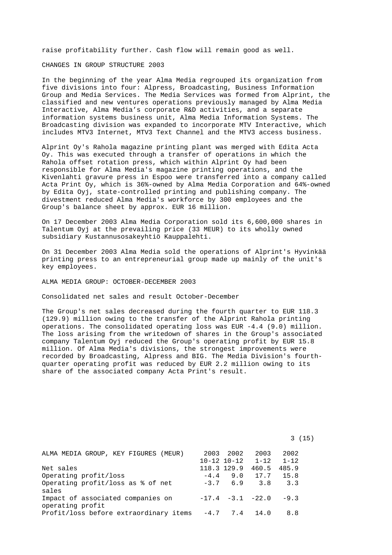raise profitability further. Cash flow will remain good as well.

CHANGES IN GROUP STRUCTURE 2003

In the beginning of the year Alma Media regrouped its organization from five divisions into four: Alpress, Broadcasting, Business Information Group and Media Services. The Media Services was formed from Alprint, the classified and new ventures operations previously managed by Alma Media Interactive, Alma Media's corporate R&D activities, and a separate information systems business unit, Alma Media Information Systems. The Broadcasting division was expanded to incorporate MTV Interactive, which includes MTV3 Internet, MTV3 Text Channel and the MTV3 access business.

Alprint Oy's Rahola magazine printing plant was merged with Edita Acta Oy. This was executed through a transfer of operations in which the Rahola offset rotation press, which within Alprint Oy had been responsible for Alma Media's magazine printing operations, and the Kivenlahti gravure press in Espoo were transferred into a company called Acta Print Oy, which is 36%-owned by Alma Media Corporation and 64%-owned by Edita Oyj, state-controlled printing and publishing company. The divestment reduced Alma Media's workforce by 300 employees and the Group's balance sheet by approx. EUR 16 million.

On 17 December 2003 Alma Media Corporation sold its 6,600,000 shares in Talentum Oyj at the prevailing price (33 MEUR) to its wholly owned subsidiary Kustannusosakeyhtiö Kauppalehti.

On 31 December 2003 Alma Media sold the operations of Alprint's Hyvinkää printing press to an entrepreneurial group made up mainly of the unit's key employees.

ALMA MEDIA GROUP: OCTOBER-DECEMBER 2003

Consolidated net sales and result October-December

The Group's net sales decreased during the fourth quarter to EUR 118.3 (129.9) million owing to the transfer of the Alprint Rahola printing operations. The consolidated operating loss was EUR -4.4 (9.0) million. The loss arising from the writedown of shares in the Group's associated company Talentum Oyj reduced the Group's operating profit by EUR 15.8 million. Of Alma Media's divisions, the strongest improvements were recorded by Broadcasting, Alpress and BIG. The Media Division's fourthquarter operating profit was reduced by EUR 2.2 million owing to its share of the associated company Acta Print's result.

| ALMA MEDIA GROUP, KEY FIGURES (MEUR)   | 2003        | 2002                | 2003                          | 2002     |  |
|----------------------------------------|-------------|---------------------|-------------------------------|----------|--|
|                                        |             | $10 - 12$ $10 - 12$ | $1 - 12$                      | $1 - 12$ |  |
| Net sales                              | 118.3 129.9 |                     | 460.5                         | 485.9    |  |
| Operating profit/loss                  | $-4.4$      | 9.0                 | 17.7                          | 15.8     |  |
| Operating profit/loss as % of net      |             | $-3.7$ 6.9          | 3. R                          | 3.3      |  |
| sales                                  |             |                     |                               |          |  |
| Impact of associated companies on      |             |                     | $-17.4$ $-3.1$ $-22.0$ $-9.3$ |          |  |
| operating profit                       |             |                     |                               |          |  |
| Profit/loss before extraordinary items | $-4.7$      | 7.4 14.0            |                               | 8.8      |  |

3 (15)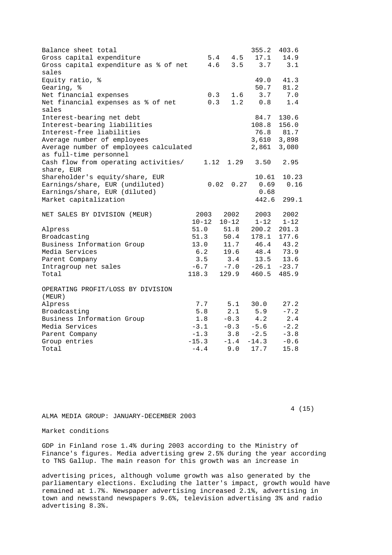| Balance sheet total                    |           |              | 355.2         | 403.6    |
|----------------------------------------|-----------|--------------|---------------|----------|
| Gross capital expenditure              |           | 4.5<br>5.4   | 17.1          | 14.9     |
| Gross capital expenditure as % of net  | 4.6       | 3.5          | 3.7           | 3.1      |
| sales                                  |           |              |               |          |
| Equity ratio, %                        |           |              | 49.0          | 41.3     |
| Gearing, %                             |           |              | 50.7          | 81.2     |
| Net financial expenses                 | 0.3       | 1.6          | 3.7           | 7.0      |
| Net financial expenses as % of net     | 0.3       | 1.2          | 0.8           | 1.4      |
| sales                                  |           |              |               |          |
| Interest-bearing net debt              |           |              | 84.7          | 130.6    |
| Interest-bearing liabilities           |           |              | 108.8         | 156.0    |
| Interest-free liabilities              |           |              | 76.8          | 81.7     |
| Average number of employees            |           |              | 3,610 3,898   |          |
| Average number of employees calculated |           |              | 2,861         | 3,080    |
| as full-time personnel                 |           |              |               |          |
| Cash flow from operating activities/   | 1.12      | 1.29         | 3.50          | 2.95     |
| share, EUR                             |           |              |               |          |
| Shareholder's equity/share, EUR        |           |              | 10.61         | 10.23    |
| Earnings/share, EUR (undiluted)        |           | 0.02<br>0.27 | 0.69          | 0.16     |
| Earnings/share, EUR (diluted)          |           |              | 0.68          |          |
| Market capitalization                  |           |              | 442.6         | 299.1    |
|                                        |           |              |               |          |
| NET SALES BY DIVISION (MEUR)           | 2003      | 2002         | 2003          | 2002     |
|                                        | $10 - 12$ | $10 - 12$    | $1 - 12$      | $1 - 12$ |
| Alpress                                | 51.0      | 51.8         | 200.2         | 201.3    |
| Broadcasting                           | 51.3      | 50.4         | 178.1         | 177.6    |
| Business Information Group             | 13.0      |              | 11.7 46.4     | 43.2     |
| Media Services                         | 6.2       |              | 19.6 48.4     | 73.9     |
| Parent Company                         | 3.5       | 3.4          | 13.5          | 13.6     |
| Intragroup net sales                   | $-6.7$    | $-7.0$       | $-26.1 -23.7$ |          |
| Total                                  | 118.3     | 129.9        | 460.5         | 485.9    |
|                                        |           |              |               |          |
| OPERATING PROFIT/LOSS BY DIVISION      |           |              |               |          |
| (MEUR)                                 |           |              |               |          |
| Alpress                                | 7.7       | 5.1          | 30.0          | 27.2     |
| Broadcasting                           | 5.8       | 2.1          | 5.9           | $-7.2$   |
| Business Information Group             | 1.8       | $-0.3$       | 4.2           | 2.4      |
| Media Services                         | $-3.1$    | $-0.3$       | $-5.6$        | $-2.2$   |
| Parent Company                         | $-1.3$    | 3.8          | $-2.5$        | $-3.8$   |
| Group entries                          | $-15.3$   | $-1.4$       | $-14.3$       | $-0.6$   |
| Total                                  | $-4.4$    | 9.0          | 17.7          | 15.8     |

ALMA MEDIA GROUP: JANUARY-DECEMBER 2003

4 (15)

Market conditions

GDP in Finland rose 1.4% during 2003 according to the Ministry of Finance's figures. Media advertising grew 2.5% during the year according to TNS Gallup. The main reason for this growth was an increase in

advertising prices, although volume growth was also generated by the parliamentary elections. Excluding the latter's impact, growth would have remained at 1.7%. Newspaper advertising increased 2.1%, advertising in town and newsstand newspapers 9.6%, television advertising 3% and radio advertising 8.3%.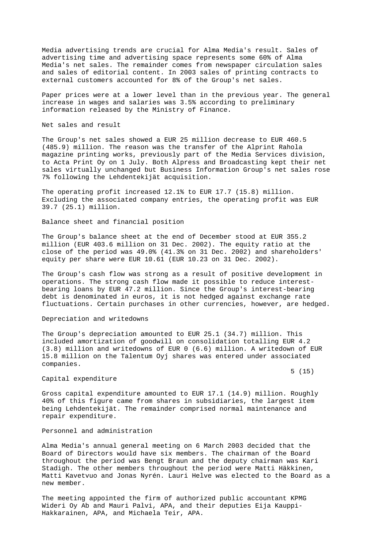Media advertising trends are crucial for Alma Media's result. Sales of advertising time and advertising space represents some 60% of Alma Media's net sales. The remainder comes from newspaper circulation sales and sales of editorial content. In 2003 sales of printing contracts to external customers accounted for 8% of the Group's net sales.

Paper prices were at a lower level than in the previous year. The general increase in wages and salaries was 3.5% according to preliminary information released by the Ministry of Finance.

Net sales and result

The Group's net sales showed a EUR 25 million decrease to EUR 460.5 (485.9) million. The reason was the transfer of the Alprint Rahola magazine printing works, previously part of the Media Services division, to Acta Print Oy on 1 July. Both Alpress and Broadcasting kept their net sales virtually unchanged but Business Information Group's net sales rose 7% following the Lehdentekijät acquisition.

The operating profit increased 12.1% to EUR 17.7 (15.8) million. Excluding the associated company entries, the operating profit was EUR 39.7 (25.1) million.

Balance sheet and financial position

The Group's balance sheet at the end of December stood at EUR 355.2 million (EUR 403.6 million on 31 Dec. 2002). The equity ratio at the close of the period was 49.0% (41.3% on 31 Dec. 2002) and shareholders' equity per share were EUR 10.61 (EUR 10.23 on 31 Dec. 2002).

The Group's cash flow was strong as a result of positive development in operations. The strong cash flow made it possible to reduce interestbearing loans by EUR 47.2 million. Since the Group's interest-bearing debt is denominated in euros, it is not hedged against exchange rate fluctuations. Certain purchases in other currencies, however, are hedged.

#### Depreciation and writedowns

The Group's depreciation amounted to EUR 25.1 (34.7) million. This included amortization of goodwill on consolidation totalling EUR 4.2 (3.8) million and writedowns of EUR 0 (6.6) million. A writedown of EUR 15.8 million on the Talentum Oyj shares was entered under associated companies.

#### Capital expenditure

 $5(15)$ 

Gross capital expenditure amounted to EUR 17.1 (14.9) million. Roughly 40% of this figure came from shares in subsidiaries, the largest item being Lehdentekijät. The remainder comprised normal maintenance and repair expenditure.

# Personnel and administration

Alma Media's annual general meeting on 6 March 2003 decided that the Board of Directors would have six members. The chairman of the Board throughout the period was Bengt Braun and the deputy chairman was Kari Stadigh. The other members throughout the period were Matti Häkkinen, Matti Kavetvuo and Jonas Nyrén. Lauri Helve was elected to the Board as a new member.

The meeting appointed the firm of authorized public accountant KPMG Wideri Oy Ab and Mauri Palvi, APA, and their deputies Eija Kauppi-Hakkarainen, APA, and Michaela Teir, APA.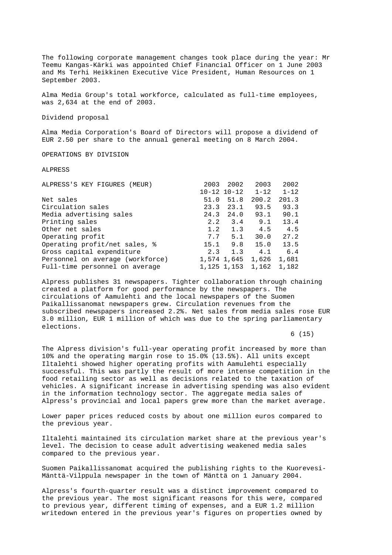The following corporate management changes took place during the year: Mr Teemu Kangas-Kärki was appointed Chief Financial Officer on 1 June 2003 and Ms Terhi Heikkinen Executive Vice President, Human Resources on 1 September 2003.

Alma Media Group's total workforce, calculated as full-time employees, was 2,634 at the end of 2003.

Dividend proposal

Alma Media Corporation's Board of Directors will propose a dividend of EUR 2.50 per share to the annual general meeting on 8 March 2004.

OPERATIONS BY DIVISION

ALPRESS

| ALPRESS'S KEY FIGURES (MEUR)     | 2003                | 2002        | 2003                 | 2002     |
|----------------------------------|---------------------|-------------|----------------------|----------|
|                                  | $10 - 12$ $10 - 12$ |             | $1 - 12$             | $1 - 12$ |
| Net sales                        | 51.0                | 51.8        | 200.2                | 201.3    |
| Circulation sales                | 23.3                | 23.1        | 93.5                 | 93.3     |
| Media advertising sales          | 24.3                | 24.0        | 93.1                 | 90.1     |
| Printing sales                   | 2.2                 | 3.4         | 9.1                  | 13.4     |
| Other net sales                  | 1.2                 | 1.3         | 4.5                  | 4.5      |
| Operating profit                 | 7.7                 | 5.1         | 30.0                 | 27.2     |
| Operating profit/net sales, %    | 15.1                | 9.8         | 15.0                 | 13.5     |
| Gross capital expenditure        | 2.3                 | 1.3         | 4.1                  | 6.4      |
| Personnel on average (workforce) |                     | 1,574 1,645 | 1,626                | 1,681    |
| Full-time personnel on average   |                     |             | 1, 125 1, 153 1, 162 | 1,182    |

Alpress publishes 31 newspapers. Tighter collaboration through chaining created a platform for good performance by the newspapers. The circulations of Aamulehti and the local newspapers of the Suomen Paikallissanomat newspapers grew. Circulation revenues from the subscribed newspapers increased 2.2%. Net sales from media sales rose EUR 3.0 million, EUR 1 million of which was due to the spring parliamentary elections.

 $6(15)$ 

The Alpress division's full-year operating profit increased by more than 10% and the operating margin rose to 15.0% (13.5%). All units except Iltalehti showed higher operating profits with Aamulehti especially successful. This was partly the result of more intense competition in the food retailing sector as well as decisions related to the taxation of vehicles. A significant increase in advertising spending was also evident in the information technology sector. The aggregate media sales of Alpress's provincial and local papers grew more than the market average.

Lower paper prices reduced costs by about one million euros compared to the previous year.

Iltalehti maintained its circulation market share at the previous year's level. The decision to cease adult advertising weakened media sales compared to the previous year.

Suomen Paikallissanomat acquired the publishing rights to the Kuorevesi-Mänttä-Vilppula newspaper in the town of Mänttä on 1 January 2004.

Alpress's fourth-quarter result was a distinct improvement compared to the previous year. The most significant reasons for this were, compared to previous year, different timing of expenses, and a EUR 1.2 million writedown entered in the previous year's figures on properties owned by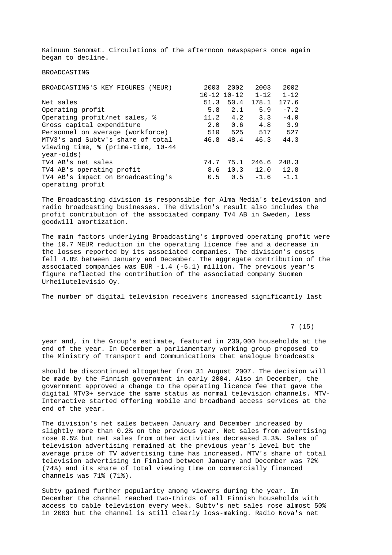Kainuun Sanomat. Circulations of the afternoon newspapers once again began to decline.

BROADCASTING

| BROADCASTING'S KEY FIGURES (MEUR)  | 2003                | 2002 | 2003               | 2002     |
|------------------------------------|---------------------|------|--------------------|----------|
|                                    | $10 - 12$ $10 - 12$ |      | $1 - 12$           | $1 - 12$ |
| Net sales                          | 51.3                | 50.4 | 178.1              | 177.6    |
| Operating profit                   | 5.8                 | 2.1  | 5.9                | $-7.2$   |
| Operating profit/net sales, %      | 11.2                | 4.2  | 3.3                | $-4.0$   |
| Gross capital expenditure          | 2.0                 | 0.6  | 4.8                | 3.9      |
| Personnel on average (workforce)   | 510                 | 525  | 517                | 527      |
| MTV3's and Subty's share of total  | 46.8                | 48.4 | 46.3               | 44.3     |
| viewing time, % (prime-time, 10-44 |                     |      |                    |          |
| year-olds)                         |                     |      |                    |          |
| TV4 AB's net sales                 | 74.7                | 75.1 | 246.6              | 248.3    |
| TV4 AB's operating profit          |                     |      | 8.6 10.3 12.0 12.8 |          |
| TV4 AB's impact on Broadcasting's  | 0.5                 | 0.5  | $-1.6$             | $-1.1$   |
| operating profit                   |                     |      |                    |          |

The Broadcasting division is responsible for Alma Media's television and radio broadcasting businesses. The division's result also includes the profit contribution of the associated company TV4 AB in Sweden, less goodwill amortization.

The main factors underlying Broadcasting's improved operating profit were the 10.7 MEUR reduction in the operating licence fee and a decrease in the losses reported by its associated companies. The division's costs fell 4.8% between January and December. The aggregate contribution of the associated companies was EUR -1.4 (-5.1) million. The previous year's figure reflected the contribution of the associated company Suomen Urheilutelevisio Oy.

The number of digital television receivers increased significantly last

7 (15)

year and, in the Group's estimate, featured in 230,000 households at the end of the year. In December a parliamentary working group proposed to the Ministry of Transport and Communications that analogue broadcasts

should be discontinued altogether from 31 August 2007. The decision will be made by the Finnish government in early 2004. Also in December, the government approved a change to the operating licence fee that gave the digital MTV3+ service the same status as normal television channels. MTV-Interactive started offering mobile and broadband access services at the end of the year.

The division's net sales between January and December increased by slightly more than 0.2% on the previous year. Net sales from advertising rose 0.5% but net sales from other activities decreased 3.3%. Sales of television advertising remained at the previous year's level but the average price of TV advertising time has increased. MTV's share of total television advertising in Finland between January and December was 72% (74%) and its share of total viewing time on commercially financed channels was 71% (71%).

Subtv gained further popularity among viewers during the year. In December the channel reached two-thirds of all Finnish households with access to cable television every week. Subtv's net sales rose almost 50% in 2003 but the channel is still clearly loss-making. Radio Nova's net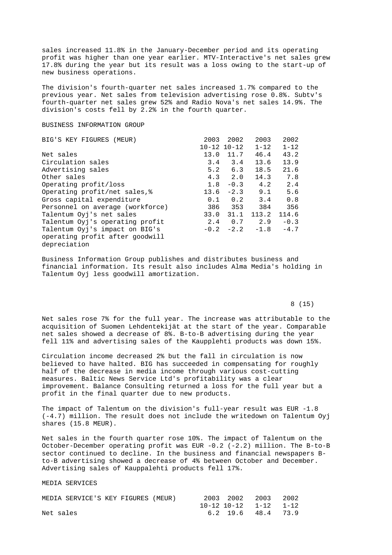sales increased 11.8% in the January-December period and its operating profit was higher than one year earlier. MTV-Interactive's net sales grew 17.8% during the year but its result was a loss owing to the start-up of new business operations.

The division's fourth-quarter net sales increased 1.7% compared to the previous year. Net sales from television advertising rose 0.8%. Subtv's fourth-quarter net sales grew 52% and Radio Nova's net sales 14.9%. The division's costs fell by 2.2% in the fourth quarter.

# BUSINESS INFORMATION GROUP

| BIG'S KEY FIGURES (MEUR)         | 2003                | 2002        | 2003     | 2002     |
|----------------------------------|---------------------|-------------|----------|----------|
|                                  | $10 - 12$ $10 - 12$ |             | $1 - 12$ | $1 - 12$ |
| Net sales                        | 13.0                | 11.7        | 46.4     | 43.2     |
| Circulation sales                |                     | $3.4$ $3.4$ | 13.6     | 13.9     |
| Advertising sales                | 5.2                 | 6.3         | 18.5     | 21.6     |
| Other sales                      |                     | $4.3 \t2.0$ | 14.3     | 7.8      |
| Operating profit/loss            | 1.8                 | $-0.3$      | 4.2      | 2.4      |
| Operating profit/net sales, %    | 13.6                | $-2.3$      | 9.1      | 5.6      |
| Gross capital expenditure        | 0.1                 | 0.2         | 3.4      | 0.8      |
| Personnel on average (workforce) | 386                 | 353         | 384      | 356      |
| Talentum Oyj's net sales         | 33.0                | 31.1        | 113.2    | 114.6    |
| Talentum Oyj's operating profit  | 2.4                 | 0.7         | 2.9      | $-0.3$   |
| Talentum Oyj's impact on BIG's   |                     | $-0.2 -2.2$ | $-1.8$   | $-4.7$   |
| operating profit after goodwill  |                     |             |          |          |
| depreciation                     |                     |             |          |          |

Business Information Group publishes and distributes business and financial information. Its result also includes Alma Media's holding in Talentum Oyj less goodwill amortization.

### 8 (15)

Net sales rose 7% for the full year. The increase was attributable to the acquisition of Suomen Lehdentekijät at the start of the year. Comparable net sales showed a decrease of 8%. B-to-B advertising during the year fell 11% and advertising sales of the Kaupplehti products was down 15%.

Circulation income decreased 2% but the fall in circulation is now believed to have halted. BIG has succeeded in compensating for roughly half of the decrease in media income through various cost-cutting measures. Baltic News Service Ltd's profitability was a clear improvement. Balance Consulting returned a loss for the full year but a profit in the final quarter due to new products.

The impact of Talentum on the division's full-year result was EUR -1.8 (-4.7) million. The result does not include the writedown on Talentum Oyj shares (15.8 MEUR).

Net sales in the fourth quarter rose 10%. The impact of Talentum on the October-December operating profit was EUR -0.2 (-2.2) million. The B-to-B sector continued to decline. In the business and financial newspapers Bto-B advertising showed a decrease of 4% between October and December. Advertising sales of Kauppalehti products fell 17%.

MEDIA SERVICES

| MEDIA SERVICE'S KEY FIGURES (MEUR) |  |  | 2003 2002 2003 2002   |  |
|------------------------------------|--|--|-----------------------|--|
|                                    |  |  | 10-12 10-12 1-12 1-12 |  |
| Net sales                          |  |  | 6.2 19.6 48.4 73.9    |  |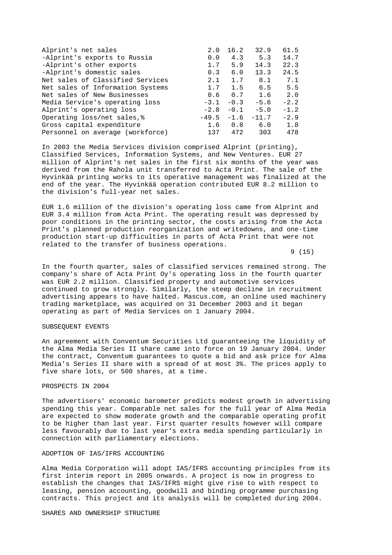| Alprint's net sales              | 2.0     | 16.2   | 32.9    | 61.5   |
|----------------------------------|---------|--------|---------|--------|
| -Alprint's exports to Russia     | 0.0     | 4.3    | 5.3     | 14.7   |
| -Alprint's other exports         | 1.7     | 5.9    | 14.3    | 22.3   |
| -Alprint's domestic sales        | 0.3     | 6.0    | 13.3    | 24.5   |
| Net sales of Classified Services | 2.1     | 1.7    | 8.1     | 7.1    |
| Net sales of Information Systems | 1.7     | 1.5    | 6.5     | 5.5    |
| Net sales of New Businesses      | 0.6     | 0.7    | 1.6     | 2.0    |
| Media Service's operating loss   | $-3.1$  | $-0.3$ | $-5.6$  | $-2.2$ |
| Alprint's operating loss         | $-2.8$  | $-0.1$ | $-5.0$  | $-1.2$ |
| Operating loss/net sales, &      | $-49.5$ | $-1.6$ | $-11.7$ | $-2.9$ |
| Gross capital expenditure        | 1.6     | 0.8    | 6.0     | 1.8    |
| Personnel on average (workforce) | 137     | 472    | 303     | 478    |

In 2003 the Media Services division comprised Alprint (printing), Classified Services, Information Systems, and New Ventures. EUR 27 million of Alprint's net sales in the first six months of the year was derived from the Rahola unit transferred to Acta Print. The sale of the Hyvinkää printing works to its operative management was finalized at the end of the year. The Hyvinkää operation contributed EUR 8.2 million to the division's full-year net sales.

EUR 1.6 million of the division's operating loss came from Alprint and EUR 3.4 million from Acta Print. The operating result was depressed by poor conditions in the printing sector, the costs arising from the Acta Print's planned production reorganization and writedowns, and one-time production start-up difficulties in parts of Acta Print that were not related to the transfer of business operations.

 $9(15)$ 

In the fourth quarter, sales of classified services remained strong. The company's share of Acta Print Oy's operating loss in the fourth quarter was EUR 2.2 million. Classified property and automotive services continued to grow strongly. Similarly, the steep decline in recruitment advertising appears to have halted. Mascus.com, an online used machinery trading marketplace, was acquired on 31 December 2003 and it began operating as part of Media Services on 1 January 2004.

### SUBSEQUENT EVENTS

An agreement with Conventum Securities Ltd guaranteeing the liquidity of the Alma Media Series II share came into force on 19 January 2004. Under the contract, Conventum guarantees to quote a bid and ask price for Alma Media's Series II share with a spread of at most 3%. The prices apply to five share lots, or 500 shares, at a time.

# PROSPECTS IN 2004

The advertisers' economic barometer predicts modest growth in advertising spending this year. Comparable net sales for the full year of Alma Media are expected to show moderate growth and the comparable operating profit to be higher than last year. First quarter results however will compare less favourably due to last year's extra media spending particularly in connection with parliamentary elections.

#### ADOPTION OF IAS/IFRS ACCOUNTING

Alma Media Corporation will adopt IAS/IFRS accounting principles from its first interim report in 2005 onwards. A project is now in progress to establish the changes that IAS/IFRS might give rise to with respect to leasing, pension accounting, goodwill and binding programme purchasing contracts. This project and its analysis will be completed during 2004.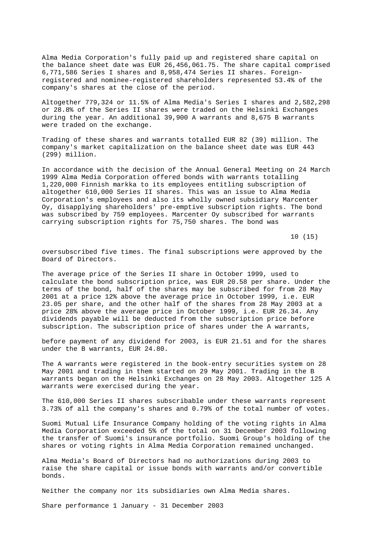Alma Media Corporation's fully paid up and registered share capital on the balance sheet date was EUR 26,456,061.75. The share capital comprised 6,771,586 Series I shares and 8,958,474 Series II shares. Foreignregistered and nominee-registered shareholders represented 53.4% of the company's shares at the close of the period.

Altogether 779,324 or 11.5% of Alma Media's Series I shares and 2,582,298 or 28.8% of the Series II shares were traded on the Helsinki Exchanges during the year. An additional 39,900 A warrants and 8,675 B warrants were traded on the exchange.

Trading of these shares and warrants totalled EUR 82 (39) million. The company's market capitalization on the balance sheet date was EUR 443 (299) million.

In accordance with the decision of the Annual General Meeting on 24 March 1999 Alma Media Corporation offered bonds with warrants totalling 1,220,000 Finnish markka to its employees entitling subscription of altogether 610,000 Series II shares. This was an issue to Alma Media Corporation's employees and also its wholly owned subsidiary Marcenter Oy, disapplying shareholders' pre-emptive subscription rights. The bond was subscribed by 759 employees. Marcenter Oy subscribed for warrants carrying subscription rights for 75,750 shares. The bond was

 $10(15)$ 

oversubscribed five times. The final subscriptions were approved by the Board of Directors.

The average price of the Series II share in October 1999, used to calculate the bond subscription price, was EUR 20.58 per share. Under the terms of the bond, half of the shares may be subscribed for from 28 May 2001 at a price 12% above the average price in October 1999, i.e. EUR 23.05 per share, and the other half of the shares from 28 May 2003 at a price 28% above the average price in October 1999, i.e. EUR 26.34. Any dividends payable will be deducted from the subscription price before subscription. The subscription price of shares under the A warrants,

before payment of any dividend for 2003, is EUR 21.51 and for the shares under the B warrants, EUR 24.80.

The A warrants were registered in the book-entry securities system on 28 May 2001 and trading in them started on 29 May 2001. Trading in the B warrants began on the Helsinki Exchanges on 28 May 2003. Altogether 125 A warrants were exercised during the year.

The 610,000 Series II shares subscribable under these warrants represent 3.73% of all the company's shares and 0.79% of the total number of votes.

Suomi Mutual Life Insurance Company holding of the voting rights in Alma Media Corporation exceeded 5% of the total on 31 December 2003 following the transfer of Suomi's insurance portfolio. Suomi Group's holding of the shares or voting rights in Alma Media Corporation remained unchanged.

Alma Media's Board of Directors had no authorizations during 2003 to raise the share capital or issue bonds with warrants and/or convertible bonds.

Neither the company nor its subsidiaries own Alma Media shares.

Share performance 1 January - 31 December 2003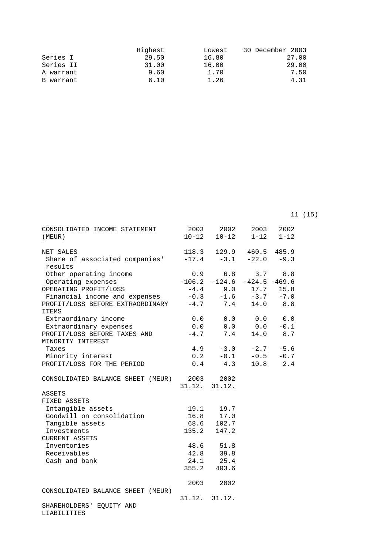|           | Highest | Lowest | 30 December 2003 |
|-----------|---------|--------|------------------|
| Series I  | 29.50   | 16.80  | 27.00            |
| Series II | 31.00   | 16.00  | 29.00            |
| A warrant | 9.60    | 1.70   | 7.50             |
| B warrant | 6.10    | 1.26   | 4.31             |

11 (15)

| CONSOLIDATED INCOME STATEMENT<br>(MEUR)                   |     | 2003 2002<br>$10-12$ $10-12$ $1-12$ | 2003 | 2002<br>$1 - 12$ |
|-----------------------------------------------------------|-----|-------------------------------------|------|------------------|
| NET SALES                                                 |     | 118.3 129.9 460.5 485.9             |      |                  |
| Share of associated companies'<br>results                 |     | $-17.4$ $-3.1$ $-22.0$ $-9.3$       |      |                  |
| Other operating income                                    | 0.9 | 6.8                                 |      | $3.7$ $8.8$      |
| Operating expenses                                        |     | $-106.2$ $-124.6$ $-424.5$ $-469.6$ |      |                  |
| OPERATING PROFIT/LOSS                                     |     | $-4.4$ 9.0 17.7 15.8                |      |                  |
| Financial income and expenses                             |     | $-0.3$ $-1.6$ $-3.7$ $-7.0$         |      |                  |
| PROFIT/LOSS BEFORE EXTRAORDINARY -4.7 7.4<br><b>ITEMS</b> |     |                                     |      | 14.0 8.8         |
| Extraordinary income                                      |     | $0.0$ $0.0$ $0.0$ $0.0$             |      |                  |
| Extraordinary expenses                                    |     | $0.0$ $0.0$ $0.0$ $-0.1$            |      |                  |
| PROFIT/LOSS BEFORE TAXES AND<br>MINORITY INTEREST         |     | $-4.7$ 7.4                          | 14.0 | 8.7              |
| Taxes                                                     |     | $4.9 -3.0 -2.7 -5.6$                |      |                  |
| Minority interest                                         |     | $0.2 -0.1 -0.5 -0.7$                |      |                  |
| PROFIT/LOSS FOR THE PERIOD                                |     | $0.4$ 4.3                           |      | $10.8$ 2.4       |
| CONSOLIDATED BALANCE SHEET (MEUR) 2003 2002               |     | 31.12. 31.12.                       |      |                  |
|                                                           |     |                                     |      |                  |
| ASSETS<br>FIXED ASSETS                                    |     |                                     |      |                  |
| Intangible assets                                         |     |                                     |      |                  |
| Goodwill on consolidation                                 |     | 19.1 19.7                           |      |                  |
| Tangible assets                                           |     | 16.8 17.0                           |      |                  |
| Investments                                               |     | $68.6$ $102.7$<br>$135.2$ $147.2$   |      |                  |
| <b>CURRENT ASSETS</b>                                     |     |                                     |      |                  |
| Inventories                                               |     | 48.6 51.8                           |      |                  |
| Receivables                                               |     | 42.8 39.8                           |      |                  |
| Cash and bank                                             |     | 24.1 25.4                           |      |                  |
|                                                           |     | 355.2 403.6                         |      |                  |
|                                                           |     |                                     |      |                  |
| CONSOLIDATED BALANCE SHEET (MEUR)                         |     | 2003 2002                           |      |                  |
|                                                           |     | 31.12. 31.12.                       |      |                  |
| SHAREHOLDERS' EQUITY AND<br>LIABILITIES                   |     |                                     |      |                  |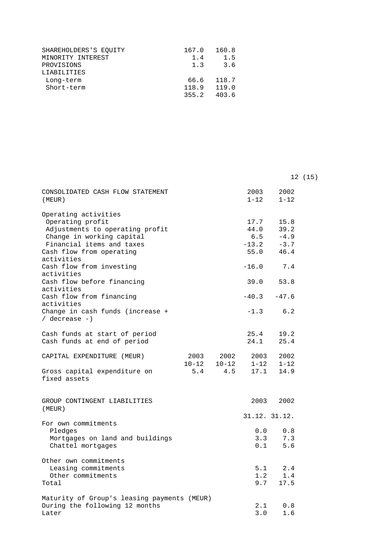| SHAREHOLDERS'S EOUITY | 167.0 | 160.8      |
|-----------------------|-------|------------|
| MINORITY INTEREST     | 1.4   | 1.5        |
| PROVISIONS            | 1.3   | 3.6        |
| LIABILITIES           |       |            |
| Long-term             |       | 66.6 118.7 |
| Short-term            | 118.9 | 119.0      |
|                       | 355.2 | 403.6      |

|                                                                                                                                                                   |                   |                   |                                          |                                          | 12 (15) |
|-------------------------------------------------------------------------------------------------------------------------------------------------------------------|-------------------|-------------------|------------------------------------------|------------------------------------------|---------|
| CONSOLIDATED CASH FLOW STATEMENT<br>(MEUR)                                                                                                                        |                   |                   | 2003<br>$1 - 12$                         | 2002<br>$1 - 12$                         |         |
| Operating activities<br>Operating profit<br>Adjustments to operating profit<br>Change in working capital<br>Financial items and taxes<br>Cash flow from operating |                   |                   | 17.7<br>44.0<br>$6.5$<br>$-13.2$<br>55.0 | 15.8<br>39.2<br>$-4.9$<br>$-3.7$<br>46.4 |         |
| activities<br>Cash flow from investing<br>activities                                                                                                              |                   |                   | $-16.0$                                  | 7.4                                      |         |
| Cash flow before financing<br>activities                                                                                                                          |                   |                   | 39.0                                     | 53.8                                     |         |
| Cash flow from financing<br>activities                                                                                                                            |                   |                   | $-40.3$                                  | $-47.6$                                  |         |
| Change in cash funds (increase +<br>$/$ decrease $-)$                                                                                                             |                   |                   | $-1.3$                                   | 6.2                                      |         |
| Cash funds at start of period<br>Cash funds at end of period                                                                                                      |                   |                   | 25.4<br>24.1                             | 19.2<br>25.4                             |         |
| CAPITAL EXPENDITURE (MEUR)                                                                                                                                        | 2003<br>$10 - 12$ | 2002<br>$10 - 12$ | 2003<br>$1 - 12$                         | 2002<br>$1 - 12$                         |         |
| Gross capital expenditure on<br>fixed assets                                                                                                                      | 5.4               | 4.5               | 17.1                                     | 14.9                                     |         |
| GROUP CONTINGENT LIABILITIES<br>(MEUR)                                                                                                                            |                   |                   | 2003                                     | 2002                                     |         |
| For own commitments                                                                                                                                               |                   |                   | 31.12. 31.12.                            |                                          |         |
| Pledges<br>Mortgages on land and buildings<br>Chattel mortgages                                                                                                   |                   |                   | 0.0<br>3.3<br>0.1                        | 0.8<br>7.3<br>5.6                        |         |
| Other own commitments<br>Leasing commitments<br>Other commitments<br>Total                                                                                        |                   |                   | 5.1<br>1.2<br>9.7                        | 2.4<br>1.4<br>17.5                       |         |
| Maturity of Group's leasing payments (MEUR)<br>During the following 12 months<br>Later                                                                            |                   |                   | 2.1<br>3.0                               | 0.8<br>1.6                               |         |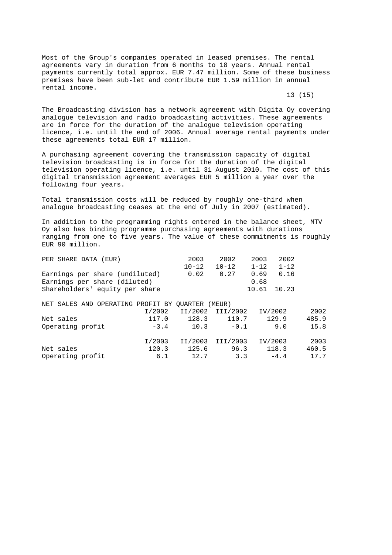Most of the Group's companies operated in leased premises. The rental agreements vary in duration from 6 months to 18 years. Annual rental payments currently total approx. EUR 7.47 million. Some of these business premises have been sub-let and contribute EUR 1.59 million in annual rental income.

13 (15)

The Broadcasting division has a network agreement with Digita Oy covering analogue television and radio broadcasting activities. These agreements are in force for the duration of the analogue television operating licence, i.e. until the end of 2006. Annual average rental payments under these agreements total EUR 17 million.

A purchasing agreement covering the transmission capacity of digital television broadcasting is in force for the duration of the digital television operating licence, i.e. until 31 August 2010. The cost of this digital transmission agreement averages EUR 5 million a year over the following four years.

Total transmission costs will be reduced by roughly one-third when analogue broadcasting ceases at the end of July in 2007 (estimated).

In addition to the programming rights entered in the balance sheet, MTV Oy also has binding programme purchasing agreements with durations ranging from one to five years. The value of these commitments is roughly EUR 90 million.

| PER SHARE DATA (EUR)                             |        | 2003      | 2002             | 2003     | 2002     |       |
|--------------------------------------------------|--------|-----------|------------------|----------|----------|-------|
|                                                  |        | $10 - 12$ | $10 - 12$        | $1 - 12$ | $1 - 12$ |       |
| Earnings per share (undiluted)                   |        | 0.02      | 0.27             | 0.69     | 0.16     |       |
| Earnings per share (diluted)                     |        |           |                  | 0.68     |          |       |
| Shareholders' equity per share                   |        |           |                  | 10.61    | 10.23    |       |
| NET SALES AND OPERATING PROFIT BY OUARTER (MEUR) |        |           |                  |          |          |       |
|                                                  | I/2002 |           | II/2002 III/2002 |          | IV/2002  | 2002  |
| Net sales                                        | 117.0  | 128.3     | 110.7            |          | 129.9    | 485.9 |
| Operating profit                                 | $-3.4$ | 10.3      | $-0.1$           |          | 9.0      | 15.8  |
|                                                  | I/2003 | II/2003   | III/2003         |          | IV/2003  | 2003  |
| Net sales                                        | 120.3  | 125.6     | 96.3             |          | 118.3    | 460.5 |
| Operating profit                                 | 6.1    | 12.7      | 3.3              |          | $-4.4$   | 17.7  |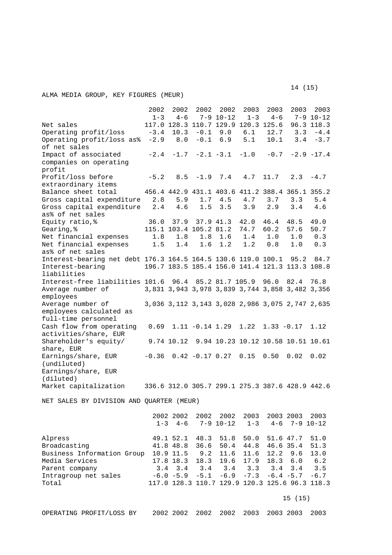ALMA MEDIA GROUP, KEY FIGURES (MEUR)

 2002 2002 2002 2002 2003 2003 2003 2003 1-3 4-6 7-9 10-12 1-3 4-6 7-9 10-12 Net sales 117.0 128.3 110.7 129.9 120.3 125.6 96.3 118.3 Operating profit/loss -3.4 10.3 -0.1 9.0 6.1 12.7 3.3 -4.4 Operating profit/loss as% -2.9 8.0 -0.1 6.9 5.1 10.1 3.4 -3.7 of net sales<br>Impact of associated  $-2.4$   $-1.7$   $-2.1$   $-3.1$   $-1.0$   $-0.7$   $-2.9$   $-17.4$ companies on operating profit Profit/loss before -5.2 8.5 -1.9 7.4 4.7 11.7 2.3 -4.7 extraordinary items Balance sheet total 456.4 442.9 431.1 403.6 411.2 388.4 365.1 355.2<br>Gross capital expenditure 2.8 5.9 1.7 4.5 4.7 3.7 3.3 5.4 Gross capital expenditure 2.8 5.9 1.7 4.5 4.7 3.7 3.3 5.4 Gross capital expenditure 2.4 4.6 1.5 3.5 3.9 2.9 3.4 4.6 as% of net sales Equity ratio,% 36.0 37.9 37.9 41.3 42.0 46.4 48.5 49.0 Gearing,  $%$  115.1 103.4 105.2 81.2 74.7 60.2 57.6 50.7 Net financial expenses 1.8 1.8 1.8 1.6 1.4 1.0 1.0 0.3 Net financial expenses 1.5 1.4 1.6 1.2 1.2 0.8 1.0 0.3 as% of net sales Interest-bearing net debt 176.3 164.5 164.5 130.6 119.0 100.1 95.2 84.7 Interest-bearing 196.7 183.5 185.4 156.0 141.4 121.3 113.3 108.8 liabilities Interest-free liabilities 101.6 96.4 85.2 81.7 105.9 96.0 82.4 76.8 Average number of 3,831 3,943 3,978 3,839 3,744 3,858 3,482 3,356 employees Average number of 3,036 3,112 3,143 3,028 2,986 3,075 2,747 2,635 employees calculated as full-time personnel Cash flow from operating 0.69 1.11 -0.14 1.29 1.22 1.33 -0.17 1.12 activities/share, EUR Shareholder's equity/ 9.74 10.12 9.94 10.23 10.12 10.58 10.51 10.61 share, EUR Earnings/share, EUR -0.36 0.42 -0.17 0.27 0.15 0.50 0.02 0.02 (undiluted) Earnings/share, EUR (diluted) Market capitalization 336.6 312.0 305.7 299.1 275.3 387.6 428.9 442.6

NET SALES BY DIVISION AND QUARTER (MEUR)

|                            |         | 2002 2002    | 2002   | 2002          | 2003    | 2003 2003                                      | 2003   |  |  |
|----------------------------|---------|--------------|--------|---------------|---------|------------------------------------------------|--------|--|--|
|                            | $1 - 3$ | $4 - 6$      |        | $7 - 9$ 10-12 | $1 - 3$ | $4-6$ 7-9 10-12                                |        |  |  |
|                            |         |              |        |               |         |                                                |        |  |  |
| Alpress                    |         | 49.1 52.1    | 48.3   | 51.8          | 50.0    | 51.6 47.7                                      | 51.0   |  |  |
| Broadcasting               |         | 41.8 48.8    | 36.6   | 50.4          | 44.8    | 46.6 35.4                                      | 51.3   |  |  |
| Business Information Group |         | 10.9 11.5    | 9.2    | 11.6          | 11.6    | $12.2$ 9.6                                     | 13.0   |  |  |
| Media Services             |         | 17.8 18.3    |        | 18.3 19.6     | 17.9    | 18.3<br>6.0                                    | 6.2    |  |  |
| Parent company             | 3.4     | 3.4          | 3.4    | 3.4           | 3.3     | $3.4$ $3.4$                                    | 3.5    |  |  |
| Intragroup net sales       |         | $-6.0 - 5.9$ | $-5.1$ | $-6.9$        | $-7.3$  | $-6.4 - 5.7$                                   | $-6.7$ |  |  |
| Total                      |         |              |        |               |         | 117.0 128.3 110.7 129.9 120.3 125.6 96.3 118.3 |        |  |  |
|                            |         |              |        |               |         |                                                |        |  |  |
|                            |         |              |        |               |         | 15(15)                                         |        |  |  |
| OPERATING PROFIT/LOSS BY   |         | 2002 2002    | 2002   | 2002          | 2003    | 2003 2003                                      | 2003   |  |  |

 $14 \t(15)$